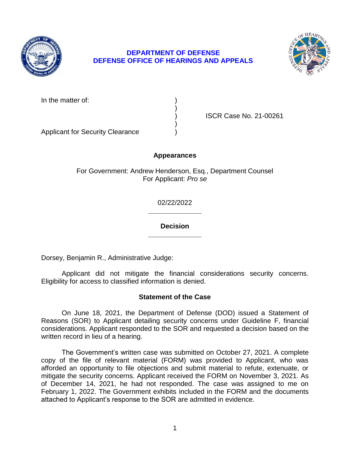

# **DEPARTMENT OF DEFENSE DEFENSE OFFICE OF HEARINGS AND APPEALS**



In the matter of:

) ISCR Case No. 21-00261

Applicant for Security Clearance )

# **Appearances**

)

)

For Government: Andrew Henderson, Esq., Department Counsel For Applicant: *Pro se* 

> **\_\_\_\_\_\_\_\_\_\_\_\_\_\_**  02/22/2022

> **\_\_\_\_\_\_\_\_\_\_\_\_\_\_ Decision**

Dorsey, Benjamin R., Administrative Judge:

 Applicant did not mitigate the financial considerations security concerns. Eligibility for access to classified information is denied.

## **Statement of the Case**

 considerations. Applicant responded to the SOR and requested a decision based on the On June 18, 2021, the Department of Defense (DOD) issued a Statement of Reasons (SOR) to Applicant detailing security concerns under Guideline F, financial written record in lieu of a hearing.

 The Government's written case was submitted on October 27, 2021. A complete copy of the file of relevant material (FORM) was provided to Applicant, who was afforded an opportunity to file objections and submit material to refute, extenuate, or mitigate the security concerns. Applicant received the FORM on November 3, 2021. As of December 14, 2021, he had not responded. The case was assigned to me on February 1, 2022. The Government exhibits included in the FORM and the documents attached to Applicant's response to the SOR are admitted in evidence.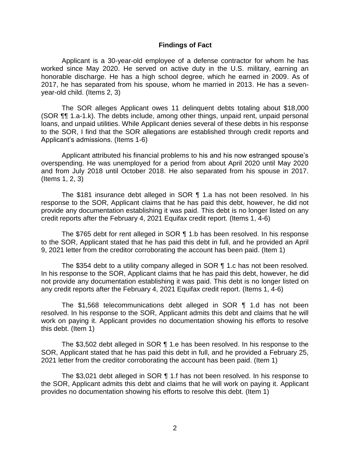#### **Findings of Fact**

Applicant is a 30-year-old employee of a defense contractor for whom he has worked since May 2020. He served on active duty in the U.S. military, earning an honorable discharge. He has a high school degree, which he earned in 2009. As of 2017, he has separated from his spouse, whom he married in 2013. He has a sevenyear-old child. (Items 2, 3)

 The SOR alleges Applicant owes 11 delinquent debts totaling about \$18,000 (SOR ¶¶ 1.a-1.k). The debts include, among other things, unpaid rent, unpaid personal to the SOR, I find that the SOR allegations are established through credit reports and loans, and unpaid utilities. While Applicant denies several of these debts in his response Applicant's admissions. (Items 1-6)

 Applicant attributed his financial problems to his and his now estranged spouse's overspending. He was unemployed for a period from about April 2020 until May 2020 and from July 2018 until October 2018. He also separated from his spouse in 2017. (Items 1, 2, 3)

 The \$181 insurance debt alleged in SOR ¶ 1.a has not been resolved. In his response to the SOR, Applicant claims that he has paid this debt, however, he did not provide any documentation establishing it was paid. This debt is no longer listed on any credit reports after the February 4, 2021 Equifax credit report. (Items 1, 4-6)

 The \$765 debt for rent alleged in SOR ¶ 1.b has been resolved. In his response to the SOR, Applicant stated that he has paid this debt in full, and he provided an April 9, 2021 letter from the creditor corroborating the account has been paid. (Item 1)

 The \$354 debt to a utility company alleged in SOR ¶ 1.c has not been resolved. In his response to the SOR, Applicant claims that he has paid this debt, however, he did not provide any documentation establishing it was paid. This debt is no longer listed on any credit reports after the February 4, 2021 Equifax credit report. (Items 1, 4-6)

 The \$1,568 telecommunications debt alleged in SOR ¶ 1.d has not been resolved. In his response to the SOR, Applicant admits this debt and claims that he will work on paying it. Applicant provides no documentation showing his efforts to resolve this debt. (Item 1)

 The \$3,502 debt alleged in SOR ¶ 1.e has been resolved. In his response to the SOR, Applicant stated that he has paid this debt in full, and he provided a February 25, 2021 letter from the creditor corroborating the account has been paid. (Item 1)

 The \$3,021 debt alleged in SOR ¶ 1.f has not been resolved. In his response to the SOR, Applicant admits this debt and claims that he will work on paying it. Applicant provides no documentation showing his efforts to resolve this debt. (Item 1)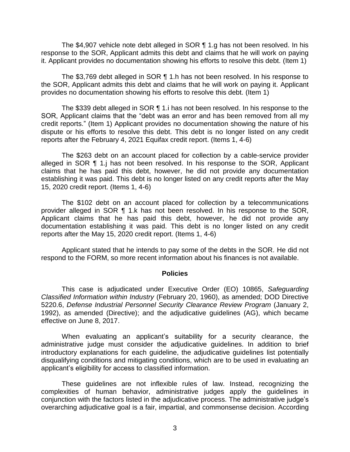The \$4,907 vehicle note debt alleged in SOR ¶ 1.g has not been resolved. In his response to the SOR, Applicant admits this debt and claims that he will work on paying it. Applicant provides no documentation showing his efforts to resolve this debt. (Item 1)

 The \$3,769 debt alleged in SOR ¶ 1.h has not been resolved. In his response to the SOR, Applicant admits this debt and claims that he will work on paying it. Applicant provides no documentation showing his efforts to resolve this debt. (Item 1)

 The \$339 debt alleged in SOR ¶ 1.i has not been resolved. In his response to the SOR, Applicant claims that the "debt was an error and has been removed from all my credit reports." (Item 1) Applicant provides no documentation showing the nature of his dispute or his efforts to resolve this debt. This debt is no longer listed on any credit reports after the February 4, 2021 Equifax credit report. (Items 1, 4-6)

 The \$263 debt on an account placed for collection by a cable-service provider alleged in SOR 1 1.j has not been resolved. In his response to the SOR, Applicant claims that he has paid this debt, however, he did not provide any documentation establishing it was paid. This debt is no longer listed on any credit reports after the May 15, 2020 credit report. (Items 1, 4-6)

 The \$102 debt on an account placed for collection by a telecommunications provider alleged in SOR ¶ 1.k has not been resolved. In his response to the SOR, Applicant claims that he has paid this debt, however, he did not provide any documentation establishing it was paid. This debt is no longer listed on any credit reports after the May 15, 2020 credit report. (Items 1, 4-6)

 Applicant stated that he intends to pay some of the debts in the SOR. He did not respond to the FORM, so more recent information about his finances is not available.

#### **Policies**

 *Classified Information within Industry* (February 20, 1960), as amended; DOD Directive 5220.6, *Defense Industrial Personnel Security Clearance Review Program* (January 2, 1992), as amended (Directive); and the adjudicative guidelines (AG), which became This case is adjudicated under Executive Order (EO) 10865, *Safeguarding*  effective on June 8, 2017.

 When evaluating an applicant's suitability for a security clearance, the administrative judge must consider the adjudicative guidelines. In addition to brief introductory explanations for each guideline, the adjudicative guidelines list potentially disqualifying conditions and mitigating conditions, which are to be used in evaluating an applicant's eligibility for access to classified information.

 These guidelines are not inflexible rules of law. Instead, recognizing the complexities of human behavior, administrative judges apply the guidelines in conjunction with the factors listed in the adjudicative process. The administrative judge's overarching adjudicative goal is a fair, impartial, and commonsense decision. According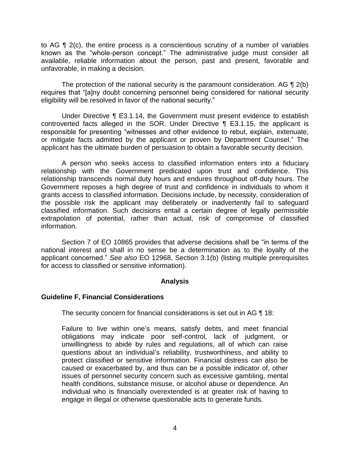to AG ¶ 2(c), the entire process is a conscientious scrutiny of a number of variables known as the "whole-person concept." The administrative judge must consider all available, reliable information about the person, past and present, favorable and unfavorable, in making a decision.

The protection of the national security is the paramount consideration. AG  $\P$  2(b) eligibility will be resolved in favor of the national security." requires that "[a]ny doubt concerning personnel being considered for national security

 Under Directive ¶ E3.1.14, the Government must present evidence to establish controverted facts alleged in the SOR. Under Directive ¶ E3.1.15, the applicant is responsible for presenting "witnesses and other evidence to rebut, explain, extenuate, or mitigate facts admitted by the applicant or proven by Department Counsel." The applicant has the ultimate burden of persuasion to obtain a favorable security decision.

 A person who seeks access to classified information enters into a fiduciary relationship with the Government predicated upon trust and confidence. This relationship transcends normal duty hours and endures throughout off-duty hours. The Government reposes a high degree of trust and confidence in individuals to whom it grants access to classified information. Decisions include, by necessity, consideration of the possible risk the applicant may deliberately or inadvertently fail to safeguard classified information. Such decisions entail a certain degree of legally permissible extrapolation of potential, rather than actual, risk of compromise of classified information.

 Section 7 of EO 10865 provides that adverse decisions shall be "in terms of the national interest and shall in no sense be a determination as to the loyalty of the applicant concerned." *See also* EO 12968, Section 3.1(b) (listing multiple prerequisites for access to classified or sensitive information).

## **Analysis**

## **Guideline F, Financial Considerations**

The security concern for financial considerations is set out in AG ¶ 18:

Failure to live within one's means, satisfy debts, and meet financial obligations may indicate poor self-control, lack of judgment, or unwillingness to abide by rules and regulations, all of which can raise questions about an individual's reliability, trustworthiness, and ability to protect classified or sensitive information. Financial distress can also be caused or exacerbated by, and thus can be a possible indicator of, other issues of personnel security concern such as excessive gambling, mental health conditions, substance misuse, or alcohol abuse or dependence. An individual who is financially overextended is at greater risk of having to engage in illegal or otherwise questionable acts to generate funds.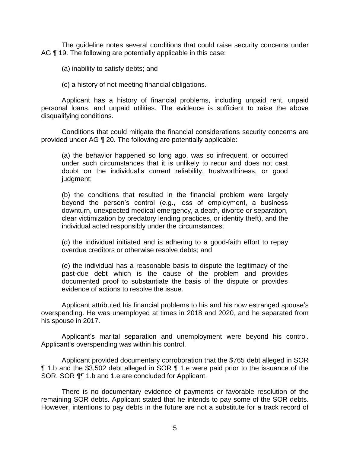The guideline notes several conditions that could raise security concerns under AG ¶ 19. The following are potentially applicable in this case:

(a) inability to satisfy debts; and

(c) a history of not meeting financial obligations.

 Applicant has a history of financial problems, including unpaid rent, unpaid personal loans, and unpaid utilities. The evidence is sufficient to raise the above disqualifying conditions.

 provided under AG ¶ 20. The following are potentially applicable: Conditions that could mitigate the financial considerations security concerns are

(a) the behavior happened so long ago, was so infrequent, or occurred under such circumstances that it is unlikely to recur and does not cast doubt on the individual's current reliability, trustworthiness, or good judgment;

(b) the conditions that resulted in the financial problem were largely beyond the person's control (e.g., loss of employment, a business downturn, unexpected medical emergency, a death, divorce or separation, clear victimization by predatory lending practices, or identity theft), and the individual acted responsibly under the circumstances;

(d) the individual initiated and is adhering to a good-faith effort to repay overdue creditors or otherwise resolve debts; and

(e) the individual has a reasonable basis to dispute the legitimacy of the past-due debt which is the cause of the problem and provides documented proof to substantiate the basis of the dispute or provides evidence of actions to resolve the issue.

 Applicant attributed his financial problems to his and his now estranged spouse's overspending. He was unemployed at times in 2018 and 2020, and he separated from his spouse in 2017.

 Applicant's marital separation and unemployment were beyond his control. Applicant's overspending was within his control.

 Applicant provided documentary corroboration that the \$765 debt alleged in SOR **1.b and the \$3,502 debt alleged in SOR 1.e were paid prior to the issuance of the** SOR. SOR  $\P$  1.b and 1.e are concluded for Applicant.

 There is no documentary evidence of payments or favorable resolution of the remaining SOR debts. Applicant stated that he intends to pay some of the SOR debts. However, intentions to pay debts in the future are not a substitute for a track record of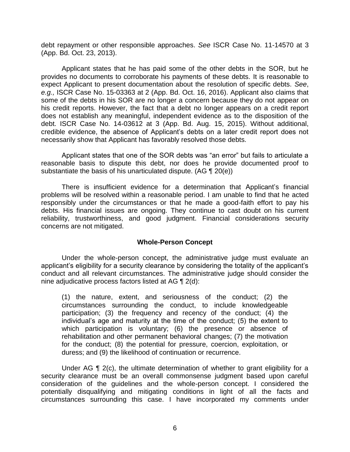debt repayment or other responsible approaches. *See* ISCR Case No. 11-14570 at 3 (App. Bd. Oct. 23, 2013).

 (App. Bd. Oct. 23, 2013). Applicant states that he has paid some of the other debts in the SOR, but he provides no documents to corroborate his payments of these debts. It is reasonable to expect Applicant to present documentation about the resolution of specific debts. *See*, *e.g.,* ISCR Case No. 15-03363 at 2 (App. Bd. Oct. 16, 2016). Applicant also claims that some of the debts in his SOR are no longer a concern because they do not appear on his credit reports. However, the fact that a debt no longer appears on a credit report does not establish any meaningful, independent evidence as to the disposition of the debt. ISCR Case No. 14-03612 at 3 (App. Bd. Aug. 15, 2015). Without additional, credible evidence, the absence of Applicant's debts on a later credit report does not necessarily show that Applicant has favorably resolved those debts.

necessarily show that Applicant has favorably resolved those debts.<br>Applicant states that one of the SOR debts was "an error" but fails to articulate a reasonable basis to dispute this debt, nor does he provide documented proof to substantiate the basis of his unarticulated dispute. (AG ¶ 20(e))

 There is insufficient evidence for a determination that Applicant's financial problems will be resolved within a reasonable period. I am unable to find that he acted responsibly under the circumstances or that he made a good-faith effort to pay his debts. His financial issues are ongoing. They continue to cast doubt on his current reliability, trustworthiness, and good judgment. Financial considerations security concerns are not mitigated.

#### **Whole-Person Concept**

Under the whole-person concept, the administrative judge must evaluate an applicant's eligibility for a security clearance by considering the totality of the applicant's conduct and all relevant circumstances. The administrative judge should consider the nine adjudicative process factors listed at AG ¶ 2(d):

(1) the nature, extent, and seriousness of the conduct; (2) the circumstances surrounding the conduct, to include knowledgeable participation; (3) the frequency and recency of the conduct; (4) the individual's age and maturity at the time of the conduct; (5) the extent to which participation is voluntary; (6) the presence or absence of rehabilitation and other permanent behavioral changes; (7) the motivation for the conduct; (8) the potential for pressure, coercion, exploitation, or duress; and (9) the likelihood of continuation or recurrence.

Under AG  $\P$  2(c), the ultimate determination of whether to grant eligibility for a security clearance must be an overall commonsense judgment based upon careful consideration of the guidelines and the whole-person concept. I considered the potentially disqualifying and mitigating conditions in light of all the facts and circumstances surrounding this case. I have incorporated my comments under